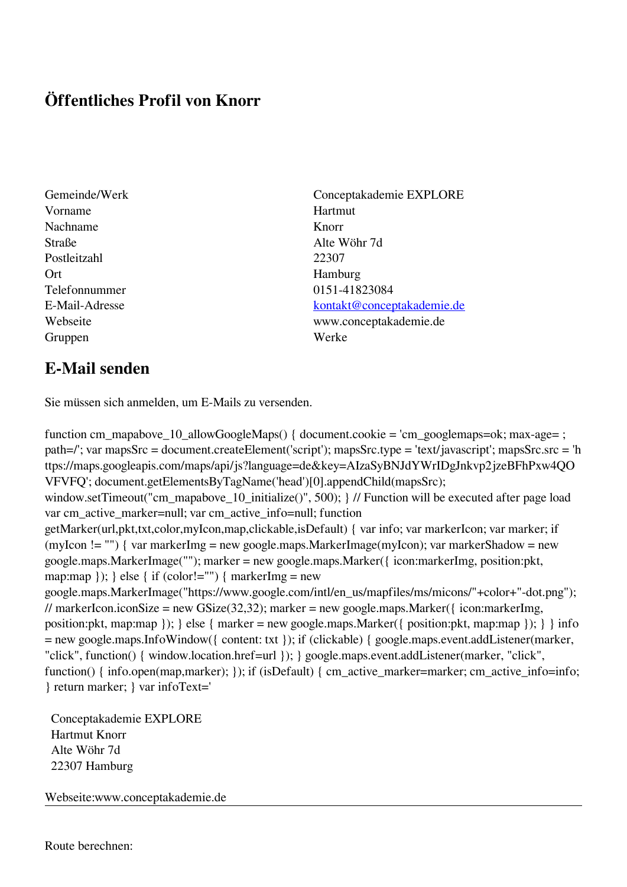## **Öffentliches Profil von Knorr**

- Gemeinde/Werk Conceptakademie EXPLORE Vorname Hartmut Nachname Knorr Straße Alte Wöhr 7d Postleitzahl 22307 Ort Hamburg Telefonnummer 0151-41823084 Gruppen Werke
- E-Mail-Adresse [kontakt@conceptakademie.de](mailto:kontakt@conceptakademie.de) Webseite www.conceptakademie.de

## **E-Mail senden**

Sie müssen sich anmelden, um E-Mails zu versenden.

function cm\_mapabove\_10\_allowGoogleMaps() { document.cookie = 'cm\_googlemaps=ok; max-age= ; path=/'; var mapsSrc = document.createElement('script'); mapsSrc.type = 'text/javascript'; mapsSrc.src = 'h ttps://maps.googleapis.com/maps/api/js?language=de&key=AIzaSyBNJdYWrIDgJnkvp2jzeBFhPxw4QO VFVFQ'; document.getElementsByTagName('head')[0].appendChild(mapsSrc); window.setTimeout("cm\_mapabove\_10\_initialize()", 500); } // Function will be executed after page load var cm\_active\_marker=null; var cm\_active\_info=null; function getMarker(url,pkt,txt,color,myIcon,map,clickable,isDefault) { var info; var markerIcon; var marker; if (myIcon != "") { var markerImg = new google.maps.MarkerImage(myIcon); var markerShadow = new google.maps.MarkerImage(""); marker = new google.maps.Marker({ icon:markerImg, position:pkt, map:map  $\}$ ;  $\}$  else  $\{$  if (color!="")  $\{$  markerImg = new google.maps.MarkerImage("https://www.google.com/intl/en\_us/mapfiles/ms/micons/"+color+"-dot.png"); // markerIcon.iconSize = new GSize(32,32); marker = new google.maps.Marker({ $i$ con:markerImg, position:pkt, map:map }); } else { marker = new google.maps.Marker({ position:pkt, map:map }); } } info = new google.maps.InfoWindow({ content: txt }); if (clickable) { google.maps.event.addListener(marker, "click", function() { window.location.href=url }); } google.maps.event.addListener(marker, "click", function() { info.open(map,marker); }); if (isDefault) { cm\_active\_marker=marker; cm\_active\_info=info; } return marker; } var infoText='

 Conceptakademie EXPLORE Hartmut Knorr Alte Wöhr 7d 22307 Hamburg

Webseite:www.conceptakademie.de